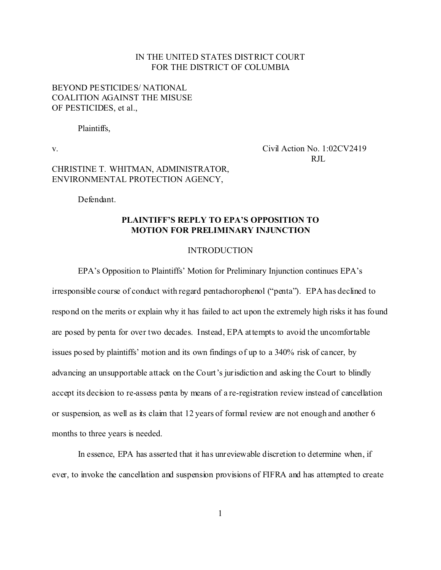## IN THE UNITED STATES DISTRICT COURT FOR THE DISTRICT OF COLUMBIA

## BEYOND PESTICIDES/ NATIONAL COALITION AGAINST THE MISUSE OF PESTICIDES, et al.,

Plaintiffs,

v. Civil Action No. 1:02CV2419 RJL

CHRISTINE T. WHITMAN, ADMINISTRATOR, ENVIRONMENTAL PROTECTION AGENCY,

Defendant.

## **PLAINTIFF'S REPLY TO EPA'S OPPOSITION TO MOTION FOR PRELIMINARY INJUNCTION**

### INTRODUCTION

EPA's Opposition to Plaintiffs' Motion for Preliminary Injunction continues EPA's

irresponsible course of conduct with regard pentachorophenol ("penta"). EPA has declined to respond on the merits or explain why it has failed to act upon the extremely high risks it has found are posed by penta for over two decades. Instead, EPA attempts to avoid the uncomfortable issues posed by plaintiffs' motion and its own findings of up to a 340% risk of cancer, by advancing an unsupportable attack on the Court's jurisdiction and asking the Court to blindly accept its decision to re-assess penta by means of a re-registration review instead of cancellation or suspension, as well as its claim that 12 years of formal review are not enough and another 6 months to three years is needed.

In essence, EPA has asserted that it has unreviewable discretion to determine when, if ever, to invoke the cancellation and suspension provisions of FIFRA and has attempted to create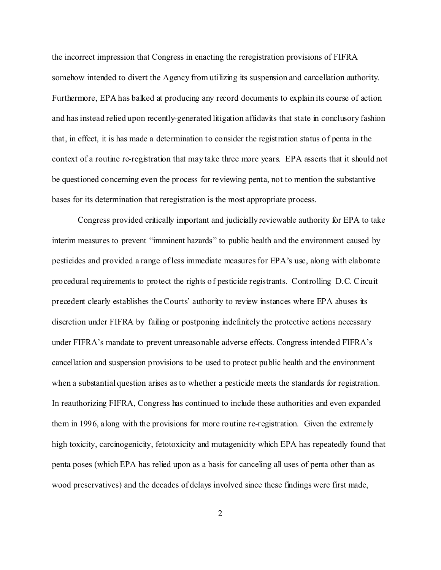the incorrect impression that Congress in enacting the reregistration provisions of FIFRA somehow intended to divert the Agency from utilizing its suspension and cancellation authority. Furthermore, EPA has balked at producing any record documents to explain its course of action and has instead relied upon recently-generated litigation affidavits that state in conclusory fashion that, in effect, it is has made a determination to consider the registration status of penta in the context of a routine re-registration that may take three more years. EPA asserts that it should not be questioned concerning even the process for reviewing penta, not to mention the substantive bases for its determination that reregistration is the most appropriate process.

Congress provided critically important and judicially reviewable authority for EPA to take interim measures to prevent "imminent hazards" to public health and the environment caused by pesticides and provided a range of less immediate measures for EPA's use, along with elaborate procedural requirements to protect the rights of pesticide registrants. Controlling D.C. Circuit precedent clearly establishes the Courts' authority to review instances where EPA abuses its discretion under FIFRA by failing or postponing indefinitely the protective actions necessary under FIFRA's mandate to prevent unreasonable adverse effects. Congress intended FIFRA's cancellation and suspension provisions to be used to protect public health and the environment when a substantial question arises as to whether a pesticide meets the standards for registration. In reauthorizing FIFRA, Congress has continued to include these authorities and even expanded them in 1996, along with the provisions for more routine re-registration. Given the extremely high toxicity, carcinogenicity, fetotoxicity and mutagenicity which EPA has repeatedly found that penta poses (which EPA has relied upon as a basis for canceling all uses of penta other than as wood preservatives) and the decades of delays involved since these findings were first made,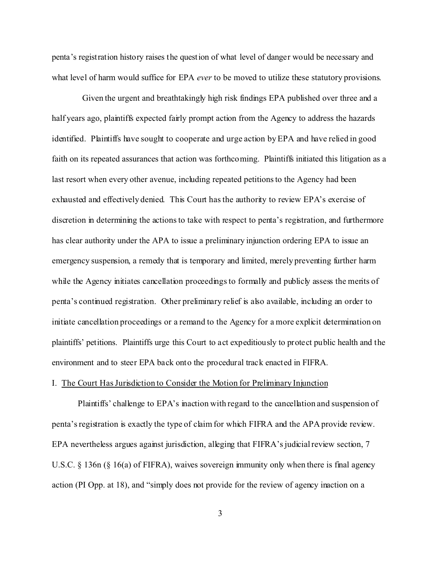penta's registration history raises the question of what level of danger would be necessary and what level of harm would suffice for EPA *ever* to be moved to utilize these statutory provisions.

 Given the urgent and breathtakingly high risk findings EPA published over three and a half years ago, plaintiffs expected fairly prompt action from the Agency to address the hazards identified. Plaintiffs have sought to cooperate and urge action by EPA and have relied in good faith on its repeated assurances that action was forthcoming. Plaintiffs initiated this litigation as a last resort when every other avenue, including repeated petitions to the Agency had been exhausted and effectively denied. This Court has the authority to review EPA's exercise of discretion in determining the actions to take with respect to penta's registration, and furthermore has clear authority under the APA to issue a preliminary injunction ordering EPA to issue an emergency suspension, a remedy that is temporary and limited, merely preventing further harm while the Agency initiates cancellation proceedings to formally and publicly assess the merits of penta's continued registration. Other preliminary relief is also available, including an order to initiate cancellation proceedings or a remand to the Agency for a more explicit determination on plaintiffs' petitions. Plaintiffs urge this Court to act expeditiously to protect public health and the environment and to steer EPA back onto the procedural track enacted in FIFRA.

### I. The Court Has Jurisdiction to Consider the Motion for Preliminary Injunction

Plaintiffs' challenge to EPA's inaction with regard to the cancellation and suspension of penta's registration is exactly the type of claim for which FIFRA and the APA provide review. EPA nevertheless argues against jurisdiction, alleging that FIFRA's judicial review section, 7 U.S.C. § 136n (§ 16(a) of FIFRA), waives sovereign immunity only when there is final agency action (PI Opp. at 18), and "simply does not provide for the review of agency inaction on a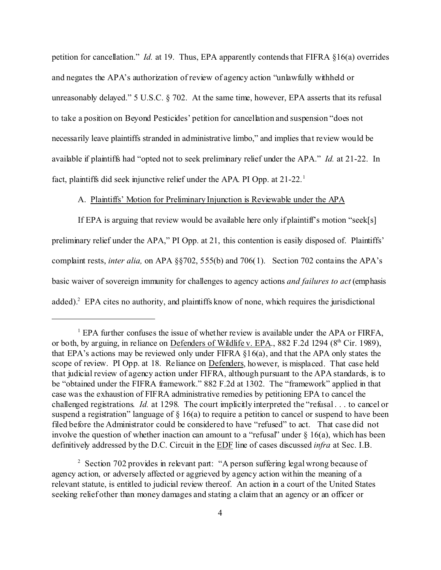petition for cancellation." *Id.* at 19. Thus, EPA apparently contends that FIFRA §16(a) overrides and negates the APA's authorization of review of agency action "unlawfully withheld or unreasonably delayed." 5 U.S.C. § 702. At the same time, however, EPA asserts that its refusal to take a position on Beyond Pesticides' petition for cancellation and suspension "does not necessarily leave plaintiffs stranded in administrative limbo," and implies that review would be available if plaintiffs had "opted not to seek preliminary relief under the APA." *Id.* at 21-22. In fact, plaintiffs did seek injunctive relief under the APA. PI Opp. at  $21-22$ .<sup>1</sup>

### A. Plaintiffs' Motion for Preliminary Injunction is Reviewable under the APA

If EPA is arguing that review would be available here only if plaintiff's motion "seek[s] preliminary relief under the APA," PI Opp. at 21, this contention is easily disposed of. Plaintiffs' complaint rests, *inter alia,* on APA §§702, 555(b) and 706(1). Section 702 contains the APA's basic waiver of sovereign immunity for challenges to agency actions *and failures to act* (emphasis added).<sup>2</sup> EPA cites no authority, and plaintiffs know of none, which requires the jurisdictional

<sup>2</sup> Section 702 provides in relevant part: "A person suffering legal wrong because of agency action, or adversely affected or aggrieved by agency action within the meaning of a relevant statute, is entitled to judicial review thereof. An action in a court of the United States seeking relief other than money damages and stating a claim that an agency or an officer or

 $<sup>1</sup>$  EPA further confuses the issue of whether review is available under the APA or FIRFA,</sup> or both, by arguing, in reliance on Defenders of Wildlife v. EPA., 882 F.2d 1294 (8<sup>th</sup> Cir. 1989), that EPA's actions may be reviewed only under FIFRA §16(a), and that the APA only states the scope of review. PI Opp. at 18. Reliance on Defenders, however, is misplaced. That case held that judicial review of agency action under FIFRA, although pursuant to the APA standards, is to be "obtained under the FIFRA framework." 882 F.2d at 1302. The "framework" applied in that case was the exhaustion of FIFRA administrative remedies by petitioning EPA to cancel the challenged registrations. *Id.* at 1298. The court implicitly interpreted the "refusal . . . to cancel or suspend a registration" language of  $\S 16(a)$  to require a petition to cancel or suspend to have been filed before the Administrator could be considered to have "refused" to act. That case did not involve the question of whether inaction can amount to a "refusal" under  $\S$  16(a), which has been definitively addressed by the D.C. Circuit in the EDF line of cases discussed *infra* at Sec. I.B.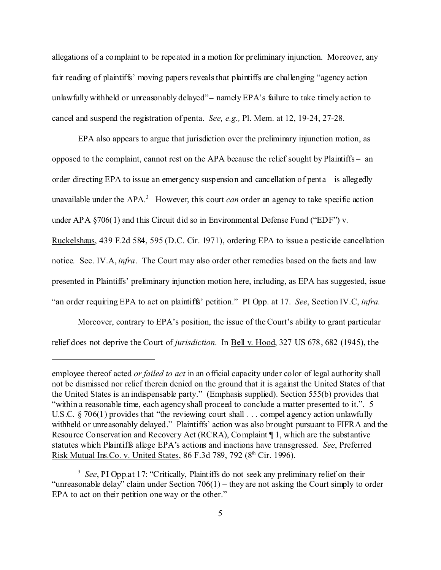allegations of a complaint to be repeated in a motion for preliminary injunction. Moreover, any fair reading of plaintiffs' moving papers reveals that plaintiffs are challenging "agency action unlawfully withheld or unreasonably delayed"-- namely EPA's failure to take timely action to cancel and suspend the registration of penta. *See, e.g.,* Pl. Mem. at 12, 19-24, 27-28.

EPA also appears to argue that jurisdiction over the preliminary injunction motion, as opposed to the complaint, cannot rest on the APA because the relief sought by Plaintiffs – an order directing EPA to issue an emergency suspension and cancellation of penta – is allegedly unavailable under the APA.<sup>3</sup> However, this court *can* order an agency to take specific action under APA §706(1) and this Circuit did so in Environmental Defense Fund ("EDF") v. Ruckelshaus, 439 F.2d 584, 595 (D.C. Cir. 1971), ordering EPA to issue a pesticide cancellation notice. Sec. IV.A, *infra*. The Court may also order other remedies based on the facts and law presented in Plaintiffs' preliminary injunction motion here, including, as EPA has suggested, issue "an order requiring EPA to act on plaintiffs' petition." PI Opp. at 17. *See*, Section IV.C, *infra.*

Moreover, contrary to EPA's position, the issue of the Court's ability to grant particular relief does not deprive the Court of *jurisdiction*. In Bell v. Hood, 327 US 678, 682 (1945), the

employee thereof acted *or failed to act* in an official capacity under color of legal authority shall not be dismissed nor relief therein denied on the ground that it is against the United States of that the United States is an indispensable party." (Emphasis supplied). Section 555(b) provides that "within a reasonable time, each agency shall proceed to conclude a matter presented to it.". 5 U.S.C. § 706(1) provides that "the reviewing court shall . . . compel agency action unlawfully withheld or unreasonably delayed." Plaintiffs' action was also brought pursuant to FIFRA and the Resource Conservation and Recovery Act (RCRA), Complaint ¶ 1, which are the substantive statutes which Plaintiffs allege EPA's actions and inactions have transgressed. *See*, Preferred Risk Mutual Ins.Co. v. United States,  $86$  F.3d  $789$ ,  $792$  ( $8<sup>th</sup>$  Cir. 1996).

<sup>&</sup>lt;sup>3</sup> See, PI Opp.at 17: "Critically, Plaintiffs do not seek any preliminary relief on their "unreasonable delay" claim under Section  $706(1)$  – they are not asking the Court simply to order EPA to act on their petition one way or the other."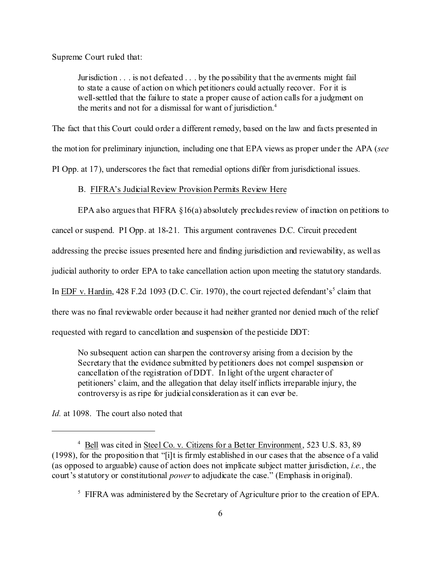Supreme Court ruled that:

Jurisdiction . . . is not defeated . . . by the possibility that the averments might fail to state a cause of action on which petitioners could actually recover. For it is well-settled that the failure to state a proper cause of action calls for a judgment on the merits and not for a dismissal for want of jurisdiction.<sup>4</sup>

The fact that this Court could order a different remedy, based on the law and facts presented in the motion for preliminary injunction, including one that EPA views as proper under the APA (*see* PI Opp. at 17), underscores the fact that remedial options differ from jurisdictional issues.

#### B. FIFRA's Judicial Review Provision Permits Review Here

EPA also argues that FIFRA §16(a) absolutely precludes review of inaction on petitions to

cancel or suspend. PI Opp. at 18-21. This argument contravenes D.C. Circuit precedent

addressing the precise issues presented here and finding jurisdiction and reviewability, as well as

judicial authority to order EPA to take cancellation action upon meeting the statutory standards.

In EDF v. Hardin, 428 F.2d 1093 (D.C. Cir. 1970), the court rejected defendant's<sup>5</sup> claim that

there was no final reviewable order because it had neither granted nor denied much of the relief

requested with regard to cancellation and suspension of the pesticide DDT:

No subsequent action can sharpen the controversy arising from a decision by the Secretary that the evidence submitted by petitioners does not compel suspension or cancellation of the registration of DDT. In light of the urgent character of petitioners' claim, and the allegation that delay itself inflicts irreparable injury, the controversy is as ripe for judicial consideration as it can ever be.

*Id.* at 1098. The court also noted that

<sup>&</sup>lt;sup>4</sup> Bell was cited in Steel Co. v. Citizens for a Better Environment, 523 U.S. 83, 89 (1998), for the proposition that "[i]t is firmly established in our cases that the absence of a valid (as opposed to arguable) cause of action does not implicate subject matter jurisdiction, *i.e.*, the court's statutory or constitutional *power* to adjudicate the case." (Emphasis in original).

<sup>&</sup>lt;sup>5</sup> FIFRA was administered by the Secretary of Agriculture prior to the creation of EPA.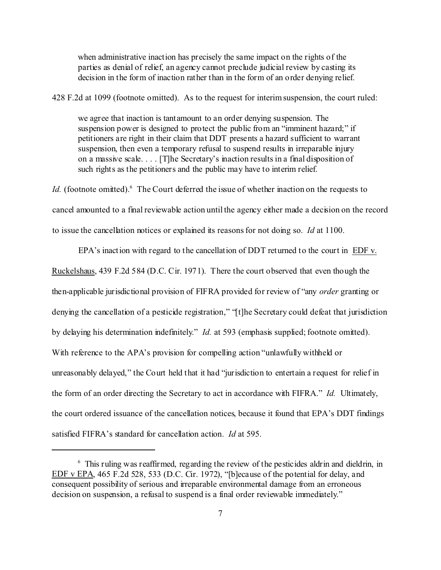when administrative inaction has precisely the same impact on the rights of the parties as denial of relief, an agency cannot preclude judicial review by casting its decision in the form of inaction rather than in the form of an order denying relief.

428 F.2d at 1099 (footnote omitted). As to the request for interim suspension, the court ruled:

we agree that inaction is tantamount to an order denying suspension. The suspension power is designed to protect the public from an "imminent hazard;" if petitioners are right in their claim that DDT presents a hazard sufficient to warrant suspension, then even a temporary refusal to suspend results in irreparable injury on a massive scale. . . . [T]he Secretary's inaction results in a final disposition of such rights as the petitioners and the public may have to interim relief.

Id. (footnote omitted).<sup>6</sup> The Court deferred the issue of whether inaction on the requests to cancel amounted to a final reviewable action until the agency either made a decision on the record to issue the cancellation notices or explained its reasons for not doing so. *Id* at 1100.

EPA's inaction with regard to the cancellation of DDT returned to the court in EDF v. Ruckelshaus, 439 F.2d 584 (D.C. Cir. 1971). There the court observed that even though the then-applicable jurisdictional provision of FIFRA provided for review of "any *order* granting or denying the cancellation of a pesticide registration," "[t]he Secretary could defeat that jurisdiction by delaying his determination indefinitely." *Id.* at 593 (emphasis supplied; footnote omitted). With reference to the APA's provision for compelling action "unlawfully withheld or unreasonably delayed," the Court held that it had "jurisdiction to entertain a request for relief in the form of an order directing the Secretary to act in accordance with FIFRA." *Id.* Ultimately, the court ordered issuance of the cancellation notices, because it found that EPA's DDT findings satisfied FIFRA's standard for cancellation action. *Id* at 595.

<sup>&</sup>lt;sup>6</sup> This ruling was reaffirmed, regarding the review of the pesticides aldrin and dieldrin, in EDF v EPA, 465 F.2d 528, 533 (D.C. Cir. 1972), "[b]ecause of the potential for delay, and consequent possibility of serious and irreparable environmental damage from an erroneous decision on suspension, a refusal to suspend is a final order reviewable immediately."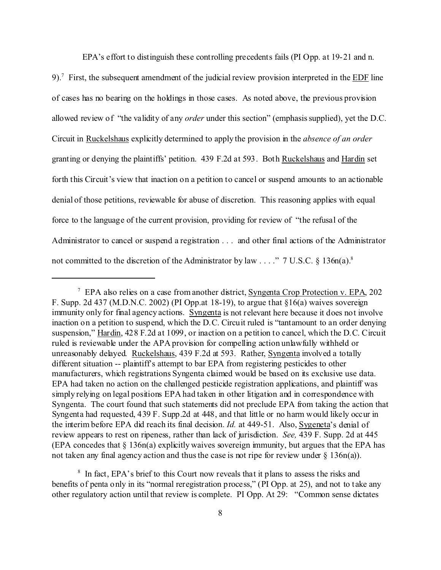EPA's effort to distinguish these controlling precedents fails (PI Opp. at 19-21 and n.

9).<sup>7</sup> First, the subsequent amendment of the judicial review provision interpreted in the  $EDF$  line of cases has no bearing on the holdings in those cases. As noted above, the previous provision allowed review of "the validity of any *order* under this section" (emphasis supplied), yet the D.C. Circuit in Ruckelshaus explicitly determined to apply the provision in the *absence of an order* granting or denying the plaintiffs' petition. 439 F.2d at 593. Both Ruckelshaus and Hardin set forth this Circuit's view that inaction on a petition to cancel or suspend amounts to an actionable denial of those petitions, reviewable for abuse of discretion. This reasoning applies with equal force to the language of the current provision, providing for review of "the refusal of the Administrator to cancel or suspend a registration . . . and other final actions of the Administrator not committed to the discretion of the Administrator by law . . . ." 7 U.S.C.  $\S$  136n(a).<sup>8</sup>

<sup>8</sup> In fact, EPA's brief to this Court now reveals that it plans to assess the risks and benefits of penta only in its "normal reregistration process," (PI Opp. at 25), and not to take any other regulatory action until that review is complete. PI Opp. At 29: "Common sense dictates

<sup>&</sup>lt;sup>7</sup> EPA also relies on a case from another district, Syngenta Crop Protection v. EPA, 202 F. Supp. 2d 437 (M.D.N.C. 2002) (PI Opp.at 18-19), to argue that  $\delta 16(a)$  waives sovereign immunity only for final agency actions. Syngenta is not relevant here because it does not involve inaction on a petition to suspend, which the D.C. Circuit ruled is "tantamount to an order denying suspension," Hardin, 428 F.2d at 1099, or inaction on a petition to cancel, which the D.C. Circuit ruled is reviewable under the APA provision for compelling action unlawfully withheld or unreasonably delayed. Ruckelshaus, 439 F.2d at 593. Rather, Syngenta involved a totally different situation -- plaintiff's attempt to bar EPA from registering pesticides to other manufacturers, which registrations Syngenta claimed would be based on its exclusive use data. EPA had taken no action on the challenged pesticide registration applications, and plaintiff was simply relying on legal positions EPA had taken in other litigation and in correspondence with Syngenta. The court found that such statements did not preclude EPA from taking the action that Syngenta had requested, 439 F. Supp.2d at 448, and that little or no harm would likely occur in the interim before EPA did reach its final decision. *Id.* at 449-51. Also, Sygeneta's denial of review appears to rest on ripeness, rather than lack of jurisdiction. *See,* 439 F. Supp. 2d at 445 (EPA concedes that  $\S$  136n(a) explicitly waives sovereign immunity, but argues that the EPA has not taken any final agency action and thus the case is not ripe for review under  $\S$  136n(a)).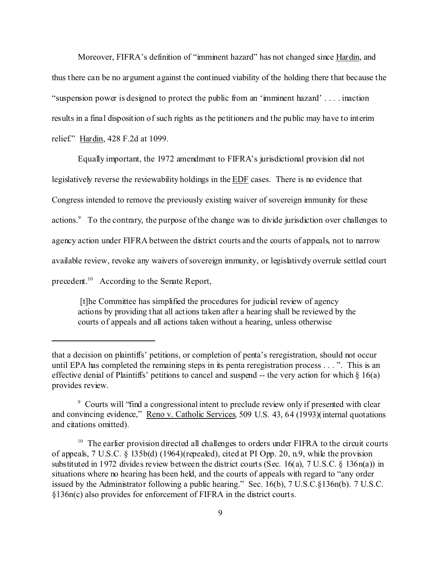Moreover, FIFRA's definition of "imminent hazard" has not changed since Hardin, and thus there can be no argument against the continued viability of the holding there that because the "suspension power is designed to protect the public from an 'imminent hazard' . . . . inaction results in a final disposition of such rights as the petitioners and the public may have to interim relief." Hardin, 428 F.2d at 1099.

Equally important, the 1972 amendment to FIFRA's jurisdictional provision did not legislatively reverse the reviewability holdings in the EDF cases. There is no evidence that Congress intended to remove the previously existing waiver of sovereign immunity for these actions.<sup>9</sup> To the contrary, the purpose of the change was to divide jurisdiction over challenges to agency action under FIFRA between the district courts and the courts of appeals, not to narrow available review, revoke any waivers of sovereign immunity, or legislatively overrule settled court precedent.<sup>10</sup> According to the Senate Report,

 [t]he Committee has simplified the procedures for judicial review of agency actions by providing that all actions taken after a hearing shall be reviewed by the courts of appeals and all actions taken without a hearing, unless otherwise

that a decision on plaintiffs' petitions, or completion of penta's reregistration, should not occur until EPA has completed the remaining steps in its penta reregistration process . . . ". This is an effective denial of Plaintiffs' petitions to cancel and suspend -- the very action for which § 16(a) provides review.

<sup>9</sup> Courts will "find a congressional intent to preclude review only if presented with clear and convincing evidence," Reno v. Catholic Services, 509 U.S. 43, 64 (1993)(internal quotations and citations omitted).

 $10$  The earlier provision directed all challenges to orders under FIFRA to the circuit courts of appeals, 7 U.S.C. § 135b(d) (1964)(repealed), cited at PI Opp. 20, n.9, while the provision substituted in 1972 divides review between the district courts (Sec. 16(a), 7 U.S.C. § 136n(a)) in situations where no hearing has been held, and the courts of appeals with regard to "any order issued by the Administrator following a public hearing." Sec. 16(b), 7 U.S.C.§136n(b). 7 U.S.C. §136n(c) also provides for enforcement of FIFRA in the district courts.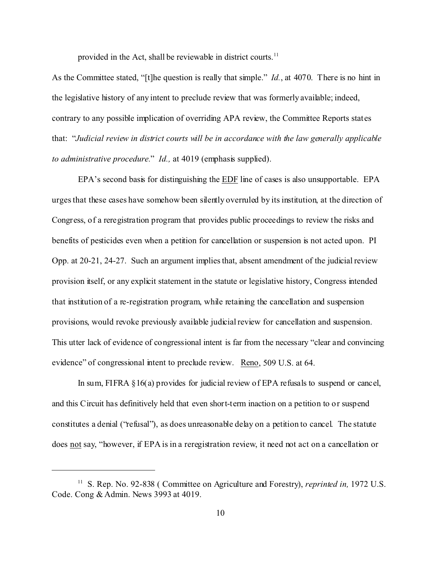provided in the Act, shall be reviewable in district courts.<sup>11</sup>

As the Committee stated, "[t]he question is really that simple." *Id.*, at 4070. There is no hint in the legislative history of any intent to preclude review that was formerly available; indeed, contrary to any possible implication of overriding APA review, the Committee Reports states that: "*Judicial review in district courts will be in accordance with the law generally applicable to administrative procedure.*" *Id.,* at 4019 (emphasis supplied).

EPA's second basis for distinguishing the EDF line of cases is also unsupportable. EPA urges that these cases have somehow been silently overruled by its institution, at the direction of Congress, of a reregistration program that provides public proceedings to review the risks and benefits of pesticides even when a petition for cancellation or suspension is not acted upon. PI Opp. at 20-21, 24-27. Such an argument implies that, absent amendment of the judicial review provision itself, or any explicit statement in the statute or legislative history, Congress intended that institution of a re-registration program, while retaining the cancellation and suspension provisions, would revoke previously available judicial review for cancellation and suspension. This utter lack of evidence of congressional intent is far from the necessary "clear and convincing evidence" of congressional intent to preclude review. Reno, 509 U.S. at 64.

In sum, FIFRA §16(a) provides for judicial review of EPA refusals to suspend or cancel, and this Circuit has definitively held that even short-term inaction on a petition to or suspend constitutes a denial ("refusal"), as does unreasonable delay on a petition to cancel. The statute does not say, "however, if EPA is in a reregistration review, it need not act on a cancellation or

<sup>11</sup> S. Rep. No. 92-838 ( Committee on Agriculture and Forestry), *reprinted in,* 1972 U.S. Code. Cong & Admin. News 3993 at 4019.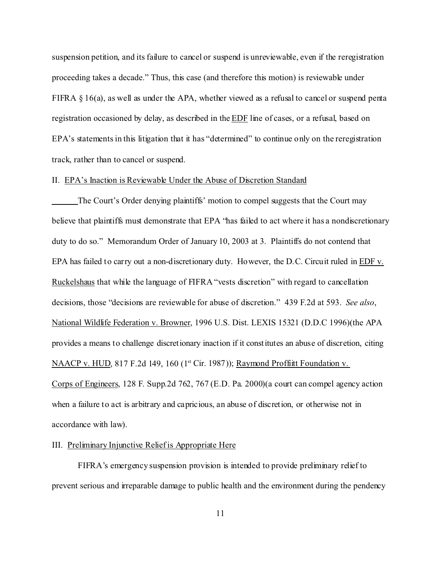suspension petition, and its failure to cancel or suspend is unreviewable, even if the reregistration proceeding takes a decade." Thus, this case (and therefore this motion) is reviewable under FIFRA § 16(a), as well as under the APA, whether viewed as a refusal to cancel or suspend penta registration occasioned by delay, as described in the EDF line of cases, or a refusal, based on EPA's statements in this litigation that it has "determined" to continue only on the reregistration track, rather than to cancel or suspend.

#### II. EPA's Inaction is Reviewable Under the Abuse of Discretion Standard

The Court's Order denying plaintiffs' motion to compel suggests that the Court may believe that plaintiffs must demonstrate that EPA "has failed to act where it has a nondiscretionary duty to do so." Memorandum Order of January 10, 2003 at 3. Plaintiffs do not contend that EPA has failed to carry out a non-discretionary duty. However, the D.C. Circuit ruled in EDF v. Ruckelshaus that while the language of FIFRA "vests discretion" with regard to cancellation decisions, those "decisions are reviewable for abuse of discretion." 439 F.2d at 593. *See also*, National Wildlife Federation v. Browner, 1996 U.S. Dist. LEXIS 15321 (D.D.C 1996)(the APA provides a means to challenge discretionary inaction if it constitutes an abuse of discretion, citing NAACP v. HUD, 817 F.2d 149, 160 (1<sup>st</sup> Cir. 1987)); Raymond Proffiitt Foundation v. Corps of Engineers, 128 F. Supp.2d 762, 767 (E.D. Pa. 2000)(a court can compel agency action when a failure to act is arbitrary and capricious, an abuse of discretion, or otherwise not in accordance with law).

#### III. Preliminary Injunctive Relief is Appropriate Here

FIFRA's emergency suspension provision is intended to provide preliminary relief to prevent serious and irreparable damage to public health and the environment during the pendency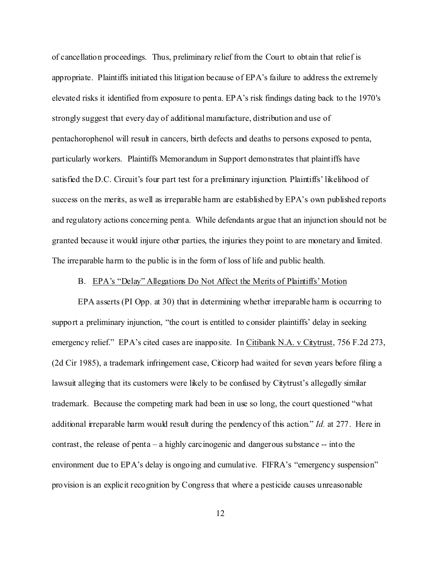of cancellation proceedings. Thus, preliminary relief from the Court to obtain that relief is appropriate. Plaintiffs initiated this litigation because of EPA's failure to address the extremely elevated risks it identified from exposure to penta. EPA's risk findings dating back to the 1970's strongly suggest that every day of additional manufacture, distribution and use of pentachorophenol will result in cancers, birth defects and deaths to persons exposed to penta, particularly workers. Plaintiffs Memorandum in Support demonstrates that plaintiffs have satisfied the D.C. Circuit's four part test for a preliminary injunction. Plaintiffs' likelihood of success on the merits, as well as irreparable harm are established by EPA's own published reports and regulatory actions concerning penta. While defendants argue that an injunction should not be granted because it would injure other parties, the injuries they point to are monetary and limited. The irreparable harm to the public is in the form of loss of life and public health.

### B. EPA's "Delay" Allegations Do Not Affect the Merits of Plaintiffs' Motion

EPA asserts (PI Opp. at 30) that in determining whether irreparable harm is occurring to support a preliminary injunction, "the court is entitled to consider plaintiffs' delay in seeking emergency relief." EPA's cited cases are inapposite. In Citibank N.A. v Citytrust, 756 F.2d 273, (2d Cir 1985), a trademark infringement case, Citicorp had waited for seven years before filing a lawsuit alleging that its customers were likely to be confused by Citytrust's allegedly similar trademark. Because the competing mark had been in use so long, the court questioned "what additional irreparable harm would result during the pendency of this action." *Id.* at 277. Here in contrast, the release of penta – a highly carcinogenic and dangerous substance -- into the environment due to EPA's delay is ongoing and cumulative. FIFRA's "emergency suspension" provision is an explicit recognition by Congress that where a pesticide causes unreasonable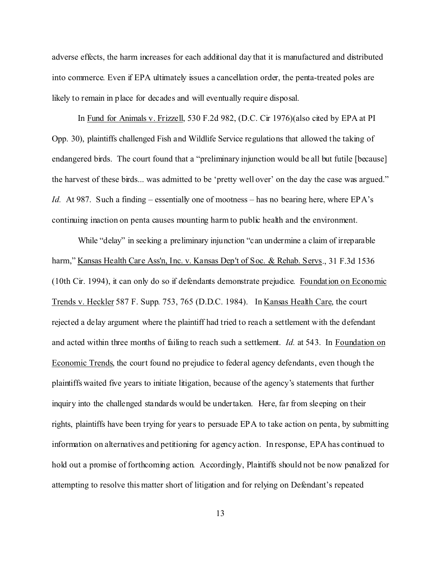adverse effects, the harm increases for each additional day that it is manufactured and distributed into commerce. Even if EPA ultimately issues a cancellation order, the penta-treated poles are likely to remain in place for decades and will eventually require disposal.

In Fund for Animals v. Frizzell, 530 F.2d 982, (D.C. Cir 1976)(also cited by EPA at PI Opp. 30), plaintiffs challenged Fish and Wildlife Service regulations that allowed the taking of endangered birds. The court found that a "preliminary injunction would be all but futile [because] the harvest of these birds... was admitted to be 'pretty well over' on the day the case was argued." *Id.* At 987. Such a finding – essentially one of mootness – has no bearing here, where EPA's continuing inaction on penta causes mounting harm to public health and the environment.

While "delay" in seeking a preliminary injunction "can undermine a claim of irreparable harm," Kansas Health Care Ass'n, Inc. v. Kansas Dep't of Soc. & Rehab. Servs., 31 F.3d 1536 (10th Cir. 1994), it can only do so if defendants demonstrate prejudice. Foundation on Economic Trends v. Heckler 587 F. Supp. 753, 765 (D.D.C. 1984). In Kansas Health Care, the court rejected a delay argument where the plaintiff had tried to reach a settlement with the defendant and acted within three months of failing to reach such a settlement. *Id.* at 543. In Foundation on Economic Trends, the court found no prejudice to federal agency defendants, even though the plaintiffs waited five years to initiate litigation, because of the agency's statements that further inquiry into the challenged standards would be undertaken. Here, far from sleeping on their rights, plaintiffs have been trying for years to persuade EPA to take action on penta, by submitting information on alternatives and petitioning for agency action. In response, EPA has continued to hold out a promise of forthcoming action. Accordingly, Plaintiffs should not be now penalized for attempting to resolve this matter short of litigation and for relying on Defendant's repeated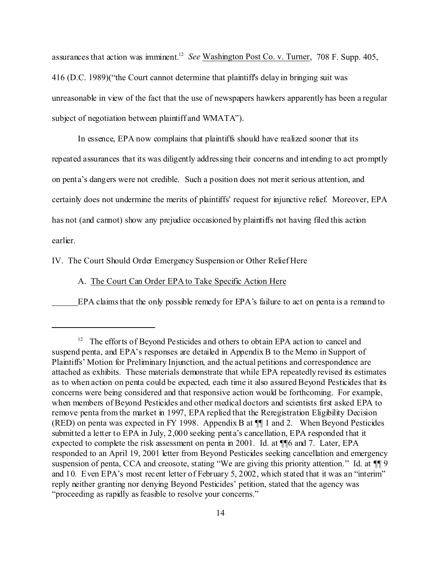assurances that action was imminent.<sup>12</sup> See Washington Post Co. v. Turner, 708 F. Supp. 405, 416 (D.C. 1989)("the Court cannot determine that plaintiff's delay in bringing suit was unreasonable in view of the fact that the use of newspapers hawkers apparently has been a regular subject of negotiation between plaintiff and WMATA").

In essence, EPA now complains that plaintiffs should have realized sooner that its repeated assurances that its was diligently addressing their concerns and intending to act promptly on penta's dangers were not credible. Such a position does not merit serious attention, and certainly does not undermine the merits of plaintiffs' request for injunctive relief. Moreover, EPA has not (and cannot) show any prejudice occasioned by plaintiffs not having filed this action earlier.

IV. The Court Should Order Emergency Suspension or Other Relief Here

A. The Court Can Order EPA to Take Specific Action Here

EPA claims that the only possible remedy for EPA's failure to act on penta is a remand to

 $12$  The efforts of Beyond Pesticides and others to obtain EPA action to cancel and suspend penta, and EPA's responses are detailed in Appendix B to the Memo in Support of Plaintiffs' Motion for Preliminary Injunction, and the actual petitions and correspondence are attached as exhibits. These materials demonstrate that while EPA repeatedly revised its estimates as to when action on penta could be expected, each time it also assured Beyond Pesticides that its concerns were being considered and that responsive action would be forthcoming. For example, when members of Beyond Pesticides and other medical doctors and scientists first asked EPA to remove penta from the market in 1997, EPA replied that the Reregistration Eligibility Decision (RED) on penta was expected in FY 1998. Appendix B at ¶¶ 1 and 2. When Beyond Pesticides submitted a letter to EPA in July, 2,000 seeking penta's cancellation, EPA responded that it expected to complete the risk assessment on penta in 2001. Id. at ¶¶6 and 7. Later, EPA responded to an April 19, 2001 letter from Beyond Pesticides seeking cancellation and emergency suspension of penta, CCA and creosote, stating "We are giving this priority attention." Id. at  $\P$  9 and 10. Even EPA's most recent letter of February 5, 2002, which stated that it was an "interim" reply neither granting nor denying Beyond Pesticides' petition, stated that the agency was "proceeding as rapidly as feasible to resolve your concerns."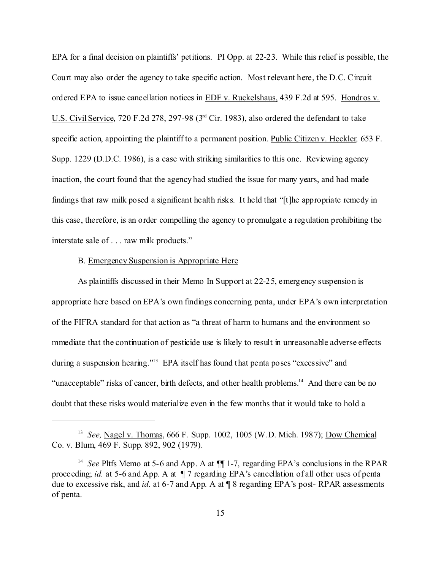EPA for a final decision on plaintiffs' petitions. PI Opp. at 22-23. While this relief is possible, the Court may also order the agency to take specific action. Most relevant here, the D.C. Circuit ordered EPA to issue cancellation notices in EDF v. Ruckelshaus, 439 F.2d at 595. Hondros v. U.S. Civil Service, 720 F.2d 278, 297-98 (3rd Cir. 1983), also ordered the defendant to take specific action, appointing the plaintiff to a permanent position. Public Citizen v. Heckler*,* 653 F. Supp. 1229 (D.D.C. 1986), is a case with striking similarities to this one. Reviewing agency inaction, the court found that the agency had studied the issue for many years, and had made findings that raw milk posed a significant health risks. It held that "[t]he appropriate remedy in this case, therefore, is an order compelling the agency to promulgate a regulation prohibiting the interstate sale of . . . raw milk products."

### B. Emergency Suspension is Appropriate Here

As plaintiffs discussed in their Memo In Support at 22-25, emergency suspension is appropriate here based on EPA's own findings concerning penta, under EPA's own interpretation of the FIFRA standard for that action as "a threat of harm to humans and the environment so mmediate that the continuation of pesticide use is likely to result in unreasonable adverse effects during a suspension hearing."<sup>13</sup> EPA itself has found that penta poses "excessive" and "unacceptable" risks of cancer, birth defects, and other health problems.<sup>14</sup> And there can be no doubt that these risks would materialize even in the few months that it would take to hold a

<sup>&</sup>lt;sup>13</sup> See, Nagel v. Thomas, 666 F. Supp. 1002, 1005 (W.D. Mich. 1987); Dow Chemical Co. v. Blum, 469 F. Supp. 892, 902 (1979).

<sup>&</sup>lt;sup>14</sup> See Pltfs Memo at 5-6 and App. A at  $\P$  1-7, regarding EPA's conclusions in the RPAR proceeding; *id.* at 5-6 and App. A at  $\P$  7 regarding EPA's cancellation of all other uses of penta due to excessive risk, and *id.* at 6-7 and App. A at ¶ 8 regarding EPA's post- RPAR assessments of penta.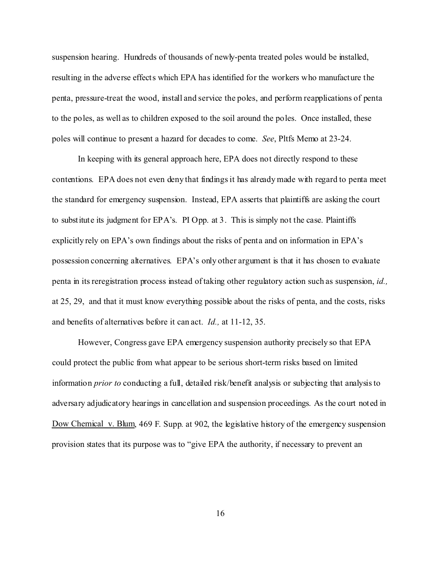suspension hearing. Hundreds of thousands of newly-penta treated poles would be installed, resulting in the adverse effects which EPA has identified for the workers who manufacture the penta, pressure-treat the wood, install and service the poles, and perform reapplications of penta to the poles, as well as to children exposed to the soil around the poles. Once installed, these poles will continue to present a hazard for decades to come. *See*, Pltfs Memo at 23-24.

In keeping with its general approach here, EPA does not directly respond to these contentions. EPA does not even deny that findings it has already made with regard to penta meet the standard for emergency suspension. Instead, EPA asserts that plaintiffs are asking the court to substitute its judgment for EPA's. PI Opp. at 3. This is simply not the case. Plaintiffs explicitly rely on EPA's own findings about the risks of penta and on information in EPA's possession concerning alternatives. EPA's only other argument is that it has chosen to evaluate penta in its reregistration process instead of taking other regulatory action such as suspension, *id.,* at 25, 29, and that it must know everything possible about the risks of penta, and the costs, risks and benefits of alternatives before it can act. *Id.,* at 11-12, 35.

However, Congress gave EPA emergency suspension authority precisely so that EPA could protect the public from what appear to be serious short-term risks based on limited information *prior to* conducting a full, detailed risk/benefit analysis or subjecting that analysis to adversary adjudicatory hearings in cancellation and suspension proceedings. As the court noted in Dow Chemical v. Blum, 469 F. Supp. at 902, the legislative history of the emergency suspension provision states that its purpose was to "give EPA the authority, if necessary to prevent an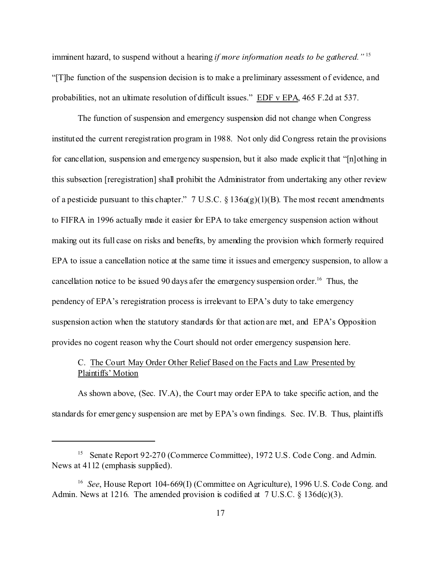imminent hazard, to suspend without a hearing *if more information needs to be gathered."* <sup>15</sup> "[T]he function of the suspension decision is to make a preliminary assessment of evidence, and probabilities, not an ultimate resolution of difficult issues." EDF v EPA, 465 F.2d at 537.

The function of suspension and emergency suspension did not change when Congress instituted the current reregistration program in 1988. Not only did Congress retain the provisions for cancellation, suspension and emergency suspension, but it also made explicit that "[n]othing in this subsection [reregistration] shall prohibit the Administrator from undertaking any other review of a pesticide pursuant to this chapter." 7 U.S.C.  $\S 136a(g)(1)(B)$ . The most recent amendments to FIFRA in 1996 actually made it easier for EPA to take emergency suspension action without making out its full case on risks and benefits, by amending the provision which formerly required EPA to issue a cancellation notice at the same time it issues and emergency suspension, to allow a cancellation notice to be issued 90 days afer the emergency suspension order.<sup>16</sup> Thus, the pendency of EPA's reregistration process is irrelevant to EPA's duty to take emergency suspension action when the statutory standards for that action are met, and EPA's Opposition provides no cogent reason why the Court should not order emergency suspension here.

## C. The Court May Order Other Relief Based on the Facts and Law Presented by Plaintiffs' Motion

As shown above, (Sec. IV.A), the Court may order EPA to take specific action, and the standards for emergency suspension are met by EPA's own findings. Sec. IV.B. Thus, plaintiffs

<sup>&</sup>lt;sup>15</sup> Senate Report 92-270 (Commerce Committee), 1972 U.S. Code Cong. and Admin. News at 4112 (emphasis supplied).

<sup>&</sup>lt;sup>16</sup> See, House Report 104-669(I) (Committee on Agriculture), 1996 U.S. Code Cong. and Admin. News at 1216. The amended provision is codified at 7 U.S.C. § 136d(c)(3).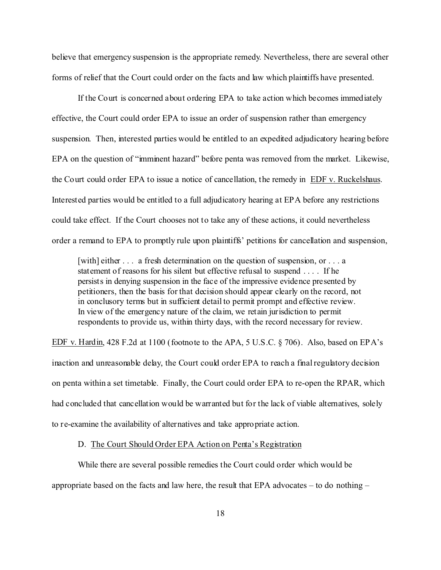believe that emergency suspension is the appropriate remedy. Nevertheless, there are several other forms of relief that the Court could order on the facts and law which plaintiffs have presented.

If the Court is concerned about ordering EPA to take action which becomes immediately effective, the Court could order EPA to issue an order of suspension rather than emergency suspension. Then, interested parties would be entitled to an expedited adjudicatory hearing before EPA on the question of "imminent hazard" before penta was removed from the market. Likewise, the Court could order EPA to issue a notice of cancellation, the remedy in EDF v. Ruckelshaus. Interested parties would be entitled to a full adjudicatory hearing at EPA before any restrictions could take effect. If the Court chooses not to take any of these actions, it could nevertheless order a remand to EPA to promptly rule upon plaintiffs' petitions for cancellation and suspension,

[with] either . . . a fresh determination on the question of suspension, or . . . a statement of reasons for his silent but effective refusal to suspend . . . . If he persists in denying suspension in the face of the impressive evidence presented by petitioners, then the basis for that decision should appear clearly on the record, not in conclusory terms but in sufficient detail to permit prompt and effective review. In view of the emergency nature of the claim, we retain jurisdiction to permit respondents to provide us, within thirty days, with the record necessary for review.

EDF v. Hardin, 428 F.2d at 1100 (footnote to the APA, 5 U.S.C. § 706). Also, based on EPA's inaction and unreasonable delay, the Court could order EPA to reach a final regulatory decision on penta within a set timetable. Finally, the Court could order EPA to re-open the RPAR, which had concluded that cancellation would be warranted but for the lack of viable alternatives, solely to re-examine the availability of alternatives and take appropriate action.

#### D. The Court Should Order EPA Action on Penta's Registration

While there are several possible remedies the Court could order which would be appropriate based on the facts and law here, the result that EPA advocates – to do nothing –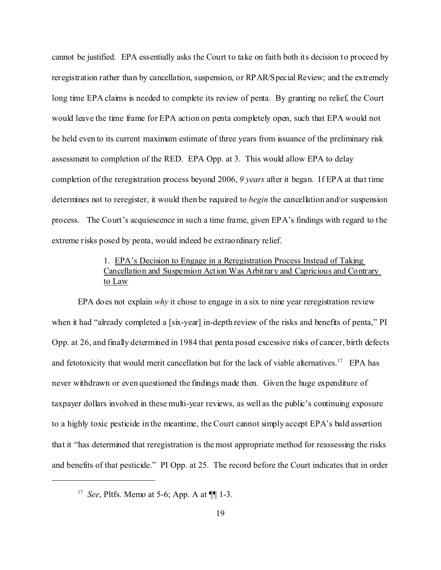cannot be justified. EPA essentially asks the Court to take on faith both its decision to proceed by reregistration rather than by cancellation, suspension, or RPAR/Special Review; and the extremely long time EPA claims is needed to complete its review of penta. By granting no relief, the Court would leave the time frame for EPA action on penta completely open, such that EPA would not be held even to its current maximum estimate of three years from issuance of the preliminary risk assessment to completion of the RED. EPA Opp. at 3. This would allow EPA to delay completion of the reregistration process beyond 2006, *9 years* after it began. If EPA at that time determines not to reregister, it would then be required to *begin* the cancellation and/or suspension process. The Court's acquiescence in such a time frame, given EPA's findings with regard to the extreme risks posed by penta, would indeed be extraordinary relief.

# 1. EPA's Decision to Engage in a Reregistration Process Instead of Taking Cancellation and Suspension Action Was Arbitrary and Capricious and Contrary to Law

EPA does not explain *why* it chose to engage in a six to nine year reregistration review when it had "already completed a [six-year] in-depth review of the risks and benefits of penta," PI Opp. at 26, and finally determined in 1984 that penta posed excessive risks of cancer, birth defects and fetotoxicity that would merit cancellation but for the lack of viable alternatives.<sup>17</sup> EPA has never withdrawn or even questioned the findings made then. Given the huge expenditure of taxpayer dollars involved in these multi-year reviews, as well as the public's continuing exposure to a highly toxic pesticide in the meantime, the Court cannot simply accept EPA's bald assertion that it "has determined that reregistration is the most appropriate method for reassessing the risks and benefits of that pesticide." PI Opp. at 25. The record before the Court indicates that in order

<sup>17</sup> *See*, Pltfs. Memo at 5-6; App. A at ¶¶ 1-3.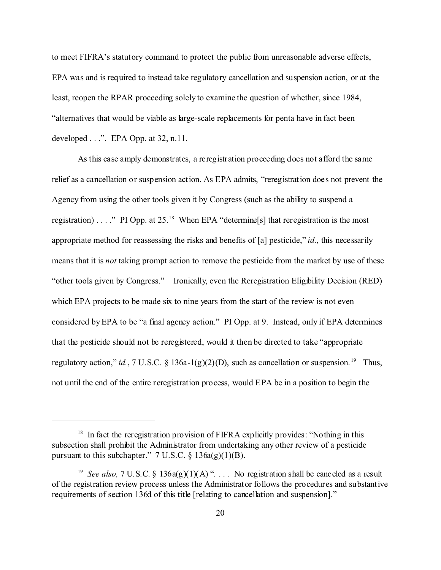to meet FIFRA's statutory command to protect the public from unreasonable adverse effects, EPA was and is required to instead take regulatory cancellation and suspension action, or at the least, reopen the RPAR proceeding solely to examine the question of whether, since 1984, "alternatives that would be viable as large-scale replacements for penta have in fact been developed . . .". EPA Opp. at 32, n.11.

As this case amply demonstrates, a reregistration proceeding does not afford the same relief as a cancellation or suspension action. As EPA admits, "reregistration does not prevent the Agency from using the other tools given it by Congress (such as the ability to suspend a registration) . . . ." PI Opp. at 25.<sup>18</sup> When EPA "determine[s] that reregistration is the most appropriate method for reassessing the risks and benefits of [a] pesticide," *id.,* this necessarily means that it is *not* taking prompt action to remove the pesticide from the market by use of these "other tools given by Congress." Ironically, even the Reregistration Eligibility Decision (RED) which EPA projects to be made six to nine years from the start of the review is not even considered by EPA to be "a final agency action." PI Opp. at 9. Instead, only if EPA determines that the pesticide should not be reregistered, would it then be directed to take "appropriate regulatory action," *id.*, 7 U.S.C. § 136a-1(g)(2)(D), such as cancellation or suspension.<sup>19</sup> Thus, not until the end of the entire reregistration process, would EPA be in a position to begin the

 $18$  In fact the reregistration provision of FIFRA explicitly provides: "Nothing in this subsection shall prohibit the Administrator from undertaking any other review of a pesticide pursuant to this subchapter."  $7 \text{ U.S.C.} \S 136a(g)(1)(B)$ .

<sup>&</sup>lt;sup>19</sup> See also, 7 U.S.C. § 136a(g)(1)(A) ". . . . No registration shall be canceled as a result of the registration review process unless the Administrator follows the procedures and substantive requirements of section 136d of this title [relating to cancellation and suspension]."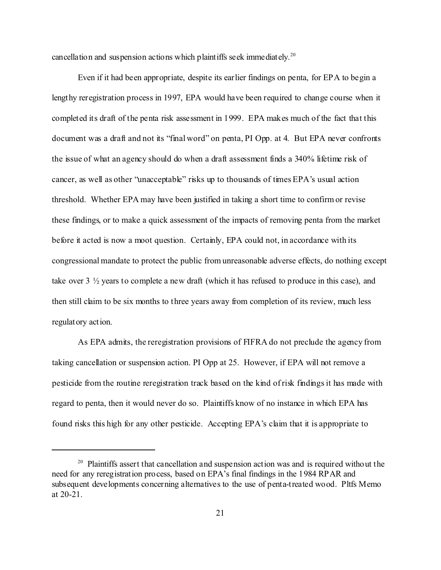cancellation and suspension actions which plaintiffs seek immediately.<sup>20</sup>

Even if it had been appropriate, despite its earlier findings on penta, for EPA to begin a lengthy reregistration process in 1997, EPA would have been required to change course when it completed its draft of the penta risk assessment in 1999. EPA makes much of the fact that this document was a draft and not its "final word" on penta, PI Opp. at 4. But EPA never confronts the issue of what an agency should do when a draft assessment finds a 340% lifetime risk of cancer, as well as other "unacceptable" risks up to thousands of times EPA's usual action threshold. Whether EPA may have been justified in taking a short time to confirm or revise these findings, or to make a quick assessment of the impacts of removing penta from the market before it acted is now a moot question. Certainly, EPA could not, in accordance with its congressional mandate to protect the public from unreasonable adverse effects, do nothing except take over 3 ½ years to complete a new draft (which it has refused to produce in this case), and then still claim to be six months to three years away from completion of its review, much less regulatory action.

As EPA admits, the reregistration provisions of FIFRA do not preclude the agency from taking cancellation or suspension action. PI Opp at 25. However, if EPA will not remove a pesticide from the routine reregistration track based on the kind of risk findings it has made with regard to penta, then it would never do so. Plaintiffs know of no instance in which EPA has found risks this high for any other pesticide. Accepting EPA's claim that it is appropriate to

<sup>&</sup>lt;sup>20</sup> Plaintiffs assert that cancellation and suspension action was and is required without the need for any reregistration process, based on EPA's final findings in the 1984 RPAR and subsequent developments concerning alternatives to the use of penta-treated wood. Pltfs Memo at 20-21.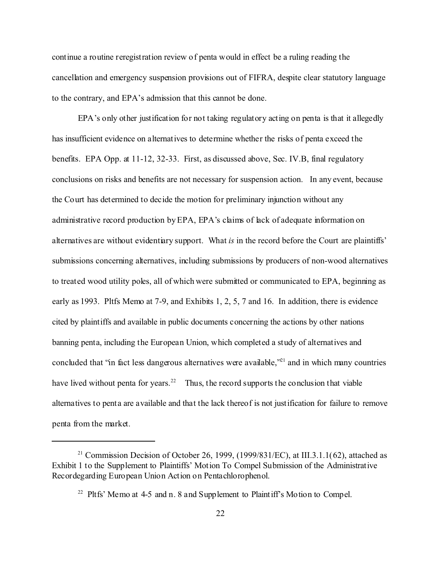continue a routine reregistration review of penta would in effect be a ruling reading the cancellation and emergency suspension provisions out of FIFRA, despite clear statutory language to the contrary, and EPA's admission that this cannot be done.

EPA's only other justification for not taking regulatory acting on penta is that it allegedly has insufficient evidence on alternatives to determine whether the risks of penta exceed the benefits. EPA Opp. at 11-12, 32-33. First, as discussed above, Sec. IV.B, final regulatory conclusions on risks and benefits are not necessary for suspension action. In any event, because the Court has determined to decide the motion for preliminary injunction without any administrative record production by EPA, EPA's claims of lack of adequate information on alternatives are without evidentiary support. What *is* in the record before the Court are plaintiffs' submissions concerning alternatives, including submissions by producers of non-wood alternatives to treated wood utility poles, all of which were submitted or communicated to EPA, beginning as early as 1993. Pltfs Memo at 7-9, and Exhibits 1, 2, 5, 7 and 16. In addition, there is evidence cited by plaintiffs and available in public documents concerning the actions by other nations banning penta, including the European Union, which completed a study of alternatives and concluded that "in fact less dangerous alternatives were available,"<sup>21</sup> and in which many countries have lived without penta for years.<sup>22</sup> Thus, the record supports the conclusion that viable alternatives to penta are available and that the lack thereof is not justification for failure to remove penta from the market.

<sup>&</sup>lt;sup>21</sup> Commission Decision of October 26, 1999, (1999/831/EC), at III.3.1.1(62), attached as Exhibit 1 to the Supplement to Plaintiffs' Motion To Compel Submission of the Administrative Recordegarding European Union Action on Pentachlorophenol.

<sup>&</sup>lt;sup>22</sup> Pltfs' Memo at 4-5 and n. 8 and Supplement to Plaintiff's Motion to Compel.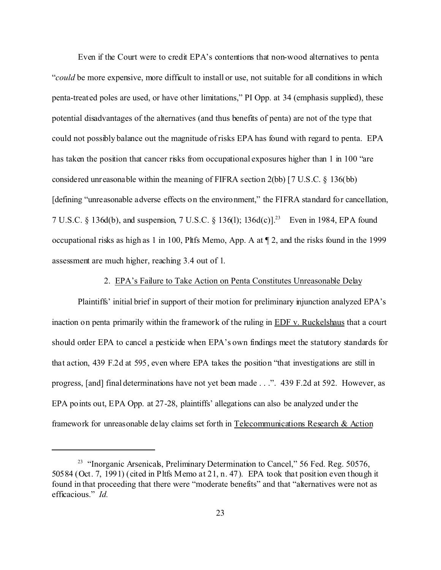Even if the Court were to credit EPA's contentions that non-wood alternatives to penta "*could* be more expensive, more difficult to install or use, not suitable for all conditions in which penta-treated poles are used, or have other limitations," PI Opp. at 34 (emphasis supplied), these potential disadvantages of the alternatives (and thus benefits of penta) are not of the type that could not possibly balance out the magnitude of risks EPA has found with regard to penta. EPA has taken the position that cancer risks from occupational exposures higher than 1 in 100 "are considered unreasonable within the meaning of FIFRA section 2(bb) [7 U.S.C. § 136(bb) [defining "unreasonable adverse effects on the environment," the FIFRA standard for cancellation, 7 U.S.C. § 136d(b), and suspension, 7 U.S.C. § 136(l); 136d(c)].<sup>23</sup> Even in 1984, EPA found occupational risks as high as 1 in 100, Pltfs Memo, App. A at ¶ 2, and the risks found in the 1999 assessment are much higher, reaching 3.4 out of 1.

### 2. EPA's Failure to Take Action on Penta Constitutes Unreasonable Delay

Plaintiffs' initial brief in support of their motion for preliminary injunction analyzed EPA's inaction on penta primarily within the framework of the ruling in EDF v. Ruckelshaus that a court should order EPA to cancel a pesticide when EPA's own findings meet the statutory standards for that action, 439 F.2d at 595, even where EPA takes the position "that investigations are still in progress, [and] final determinations have not yet been made . . .". 439 F.2d at 592. However, as EPA points out, EPA Opp. at 27-28, plaintiffs' allegations can also be analyzed under the framework for unreasonable delay claims set forth in Telecommunications Research & Action

<sup>&</sup>lt;sup>23</sup> "Inorganic Arsenicals, Preliminary Determination to Cancel," 56 Fed. Reg. 50576, 50584 (Oct. 7, 1991) (cited in Pltfs Memo at 21, n. 47). EPA took that position even though it found in that proceeding that there were "moderate benefits" and that "alternatives were not as efficacious." *Id.*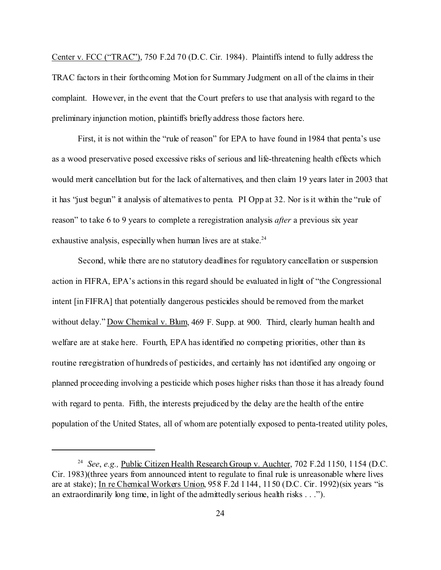Center v. FCC ("TRAC"), 750 F.2d 70 (D.C. Cir. 1984). Plaintiffs intend to fully address the TRAC factors in their forthcoming Motion for Summary Judgment on all of the claims in their complaint. However, in the event that the Court prefers to use that analysis with regard to the preliminary injunction motion, plaintiffs briefly address those factors here.

First, it is not within the "rule of reason" for EPA to have found in 1984 that penta's use as a wood preservative posed excessive risks of serious and life-threatening health effects which would merit cancellation but for the lack of alternatives, and then claim 19 years later in 2003 that it has "just begun" it analysis of alternatives to penta. PI Opp at 32. Nor is it within the "rule of reason" to take 6 to 9 years to complete a reregistration analysis *after* a previous six year exhaustive analysis, especially when human lives are at stake.<sup>24</sup>

Second, while there are no statutory deadlines for regulatory cancellation or suspension action in FIFRA, EPA's actions in this regard should be evaluated in light of "the Congressional intent [in FIFRA] that potentially dangerous pesticides should be removed from the market without delay." Dow Chemical v. Blum, 469 F. Supp. at 900. Third, clearly human health and welfare are at stake here. Fourth, EPA has identified no competing priorities, other than its routine reregistration of hundreds of pesticides, and certainly has not identified any ongoing or planned proceeding involving a pesticide which poses higher risks than those it has already found with regard to penta. Fifth, the interests prejudiced by the delay are the health of the entire population of the United States, all of whom are potentially exposed to penta-treated utility poles,

<sup>24</sup> *See*, *e.g.,* Public Citizen Health Research Group v. Auchter, 702 F.2d 1150, 1154 (D.C. Cir. 1983)(three years from announced intent to regulate to final rule is unreasonable where lives are at stake); In re Chemical Workers Union, 958 F.2d 1144, 1150 (D.C. Cir. 1992)(six years "is an extraordinarily long time, in light of the admittedly serious health risks . . .").